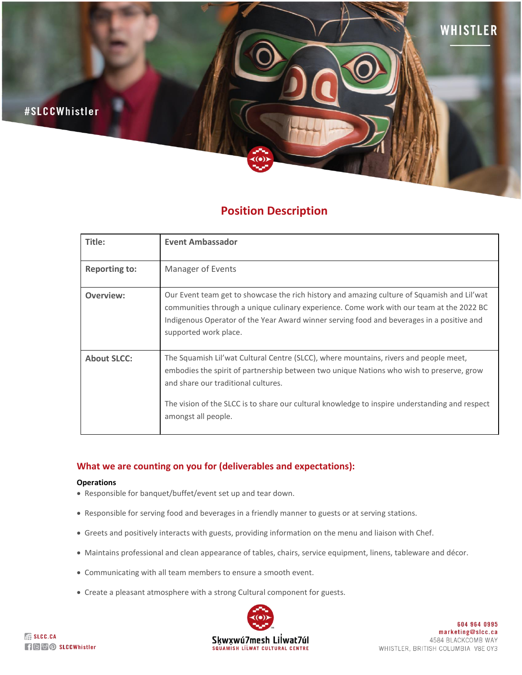

# **Position Description**

| Title:               | <b>Event Ambassador</b>                                                                                                                                                                                                                                                                                                                           |
|----------------------|---------------------------------------------------------------------------------------------------------------------------------------------------------------------------------------------------------------------------------------------------------------------------------------------------------------------------------------------------|
| <b>Reporting to:</b> | Manager of Events                                                                                                                                                                                                                                                                                                                                 |
| Overview:            | Our Event team get to showcase the rich history and amazing culture of Squamish and Lil'wat<br>communities through a unique culinary experience. Come work with our team at the 2022 BC<br>Indigenous Operator of the Year Award winner serving food and beverages in a positive and<br>supported work place.                                     |
| <b>About SLCC:</b>   | The Squamish Lil'wat Cultural Centre (SLCC), where mountains, rivers and people meet,<br>embodies the spirit of partnership between two unique Nations who wish to preserve, grow<br>and share our traditional cultures.<br>The vision of the SLCC is to share our cultural knowledge to inspire understanding and respect<br>amongst all people. |

# **What we are counting on you for (deliverables and expectations):**

## **Operations**

- Responsible for banquet/buffet/event set up and tear down.
- Responsible for serving food and beverages in a friendly manner to guests or at serving stations.
- Greets and positively interacts with guests, providing information on the menu and liaison with Chef.
- Maintains professional and clean appearance of tables, chairs, service equipment, linens, tableware and décor.
- Communicating with all team members to ensure a smooth event.
- Create a pleasant atmosphere with a strong Cultural component for guests.

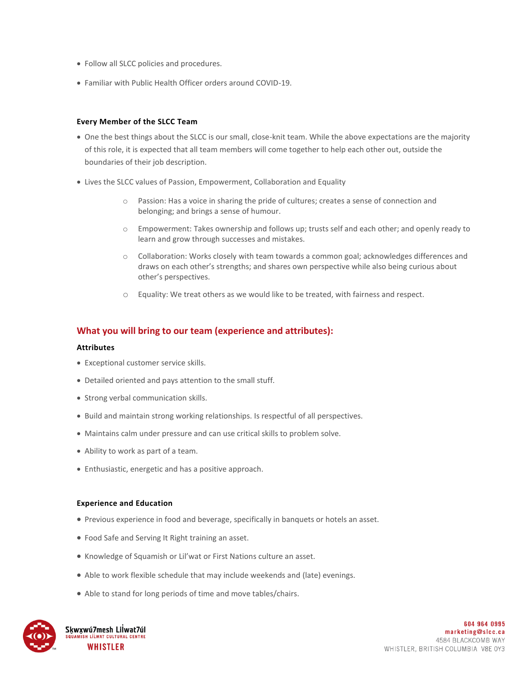- Follow all SLCC policies and procedures.
- Familiar with Public Health Officer orders around COVID-19.

### **Every Member of the SLCC Team**

- One the best things about the SLCC is our small, close-knit team. While the above expectations are the majority of this role, it is expected that all team members will come together to help each other out, outside the boundaries of their job description.
- Lives the SLCC values of Passion, Empowerment, Collaboration and Equality
	- o Passion: Has a voice in sharing the pride of cultures; creates a sense of connection and belonging; and brings a sense of humour.
	- o Empowerment: Takes ownership and follows up; trusts self and each other; and openly ready to learn and grow through successes and mistakes.
	- $\circ$  Collaboration: Works closely with team towards a common goal; acknowledges differences and draws on each other's strengths; and shares own perspective while also being curious about other's perspectives.
	- o Equality: We treat others as we would like to be treated, with fairness and respect.

## **What you will bring to our team (experience and attributes):**

#### **Attributes**

- Exceptional customer service skills.
- Detailed oriented and pays attention to the small stuff.
- Strong verbal communication skills.
- Build and maintain strong working relationships. Is respectful of all perspectives.
- Maintains calm under pressure and can use critical skills to problem solve.
- Ability to work as part of a team.
- Enthusiastic, energetic and has a positive approach.

#### **Experience and Education**

- Previous experience in food and beverage, specifically in banquets or hotels an asset.
- Food Safe and Serving It Right training an asset.
- Knowledge of Squamish or Lil'wat or First Nations culture an asset.
- Able to work flexible schedule that may include weekends and (late) evenings.
- Able to stand for long periods of time and move tables/chairs.